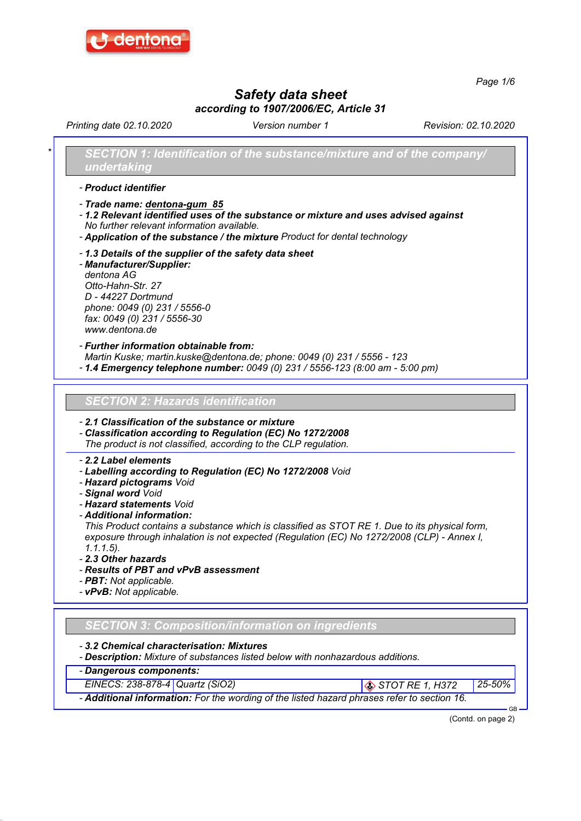

Page 1/6

# Safety data sheet according to 1907/2006/EC, Article 31

Printing date 02.10.2020 Revision: 02.10.2020 Version number 1

SECTION 1: Identification of the substance/mixture and of the company/ undertaking

- Product identifier

- Trade name: dentona-gum 85

- 1.2 Relevant identified uses of the substance or mixture and uses advised against No further relevant information available.

- Application of the substance / the mixture Product for dental technology

- 1.3 Details of the supplier of the safety data sheet

- Manufacturer/Supplier: dentona AG Otto-Hahn-Str. 27 D - 44227 Dortmund phone: 0049 (0) 231 / 5556-0 fax: 0049 (0) 231 / 5556-30 www.dentona.de

- Further information obtainable from:

Martin Kuske; martin.kuske@dentona.de; phone: 0049 (0) 231 / 5556 - 123

- 1.4 Emergency telephone number: 0049 (0) 231 / 5556-123 (8:00 am - 5:00 pm)

SECTION 2: Hazards identification

- 2.1 Classification of the substance or mixture

- Classification according to Regulation (EC) No 1272/2008

The product is not classified, according to the CLP regulation.

#### - 2.2 Label elements

- Labelling according to Regulation (EC) No 1272/2008 Void
- Hazard pictograms Void
- Signal word Void
- Hazard statements Void
- Additional information:

This Product contains a substance which is classified as STOT RE 1. Due to its physical form, exposure through inhalation is not expected (Regulation (EC) No 1272/2008 (CLP) - Annex I, 1.1.1.5).

- 2.3 Other hazards
- Results of PBT and vPvB assessment
- **PBT**: Not applicable.
- vPvB: Not applicable.

## SECTION 3: Composition/information on ingredients

- 3.2 Chemical characterisation: Mixtures
- Description: Mixture of substances listed below with nonhazardous additions.
- Dangerous components:
- EINECS: 238-878-4 Quartz (SiO2) STOT RE 1, H372 25-50%

- Additional information: For the wording of the listed hazard phrases refer to section 16.

(Contd. on page 2)

GB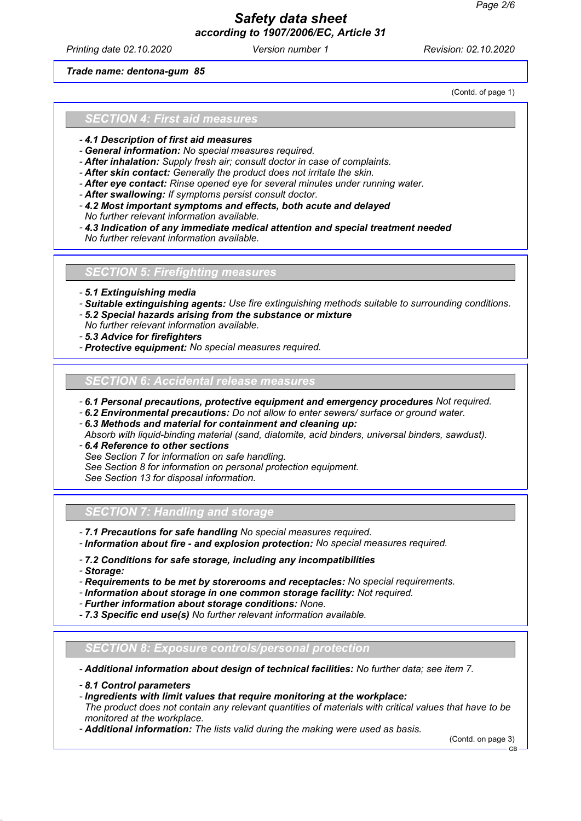## Safety data sheet according to 1907/2006/EC, Article 31

Printing date 02.10.2020 **Revision: 02.10.2020** Version number 1 Revision: 02.10.2020

Trade name: dentona-gum 85

(Contd. of page 1)

#### SECTION 4: First aid measures

- 4.1 Description of first aid measures
- General information: No special measures required.
- After inhalation: Supply fresh air; consult doctor in case of complaints.
- After skin contact: Generally the product does not irritate the skin.
- After eye contact: Rinse opened eye for several minutes under running water.
- After swallowing: If symptoms persist consult doctor.
- 4.2 Most important symptoms and effects, both acute and delayed
- No further relevant information available.
- 4.3 Indication of any immediate medical attention and special treatment needed No further relevant information available.

#### SECTION 5: Firefighting measures

- 5.1 Extinguishing media
- Suitable extinguishing agents: Use fire extinguishing methods suitable to surrounding conditions.
- 5.2 Special hazards arising from the substance or mixture
- No further relevant information available.
- 5.3 Advice for firefighters
- Protective equipment: No special measures required.

## **SECTION 6: Accidental release measures**

- 6.1 Personal precautions, protective equipment and emergency procedures Not required.
- 6.2 Environmental precautions: Do not allow to enter sewers/ surface or ground water.
- 6.3 Methods and material for containment and cleaning up:
- Absorb with liquid-binding material (sand, diatomite, acid binders, universal binders, sawdust).
- 6.4 Reference to other sections See Section 7 for information on safe handling.
- See Section 8 for information on personal protection equipment.

See Section 13 for disposal information.

#### SECTION 7: Handling and storage

- 7.1 Precautions for safe handling No special measures required.
- Information about fire and explosion protection: No special measures required.
- 7.2 Conditions for safe storage, including any incompatibilities
- Storage:
- Requirements to be met by storerooms and receptacles: No special requirements.
- Information about storage in one common storage facility: Not required.
- Further information about storage conditions: None.
- 7.3 Specific end use(s) No further relevant information available.

#### SECTION 8: Exposure controls/personal protection

- Additional information about design of technical facilities: No further data; see item 7.

- 8.1 Control parameters
- Ingredients with limit values that require monitoring at the workplace:

The product does not contain any relevant quantities of materials with critical values that have to be monitored at the workplace.

- Additional information: The lists valid during the making were used as basis.

(Contd. on page 3)

GB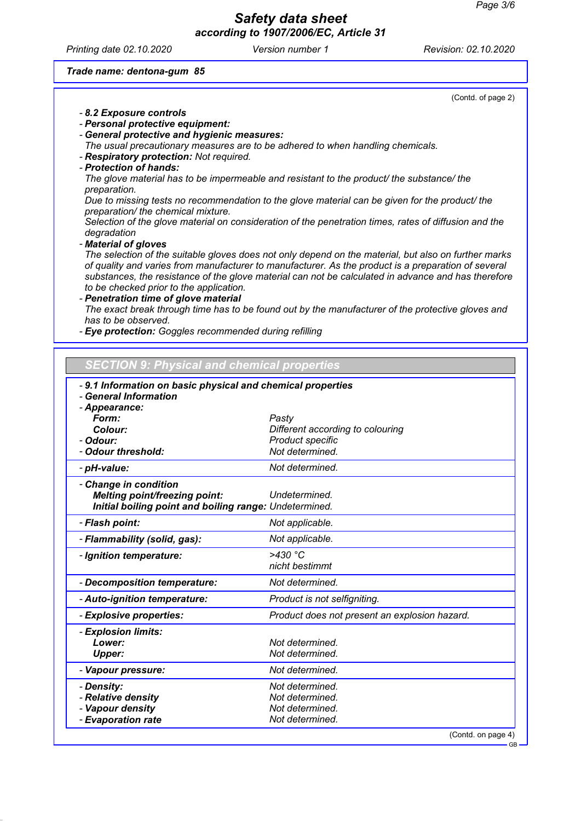GB

## Safety data sheet according to 1907/2006/EC, Article 31

Printing date 02.10.2020 Version number 1 Revision: 02.10.2020

## Trade name: dentona-gum 85

| (Contd. of page 2)                                                                                                                                                                                                                                                                                                                                            |
|---------------------------------------------------------------------------------------------------------------------------------------------------------------------------------------------------------------------------------------------------------------------------------------------------------------------------------------------------------------|
| - 8.2 Exposure controls                                                                                                                                                                                                                                                                                                                                       |
| - Personal protective equipment:                                                                                                                                                                                                                                                                                                                              |
| - General protective and hygienic measures:                                                                                                                                                                                                                                                                                                                   |
| The usual precautionary measures are to be adhered to when handling chemicals.                                                                                                                                                                                                                                                                                |
| - Respiratory protection: Not required.                                                                                                                                                                                                                                                                                                                       |
| - Protection of hands:                                                                                                                                                                                                                                                                                                                                        |
| The glove material has to be impermeable and resistant to the product/ the substance/ the<br>preparation.                                                                                                                                                                                                                                                     |
| Due to missing tests no recommendation to the glove material can be given for the product/ the<br>preparation/ the chemical mixture.                                                                                                                                                                                                                          |
| Selection of the glove material on consideration of the penetration times, rates of diffusion and the<br>degradation                                                                                                                                                                                                                                          |
| - Material of gloves                                                                                                                                                                                                                                                                                                                                          |
| The selection of the suitable gloves does not only depend on the material, but also on further marks<br>of quality and varies from manufacturer to manufacturer. As the product is a preparation of several<br>substances, the resistance of the glove material can not be calculated in advance and has therefore<br>to be checked prior to the application. |
| - Penetration time of glove material                                                                                                                                                                                                                                                                                                                          |
| The exact break through time has to be found out by the manufacturer of the protective gloves and<br>has to be observed.                                                                                                                                                                                                                                      |
| - Eye protection: Goggles recommended during refilling                                                                                                                                                                                                                                                                                                        |
|                                                                                                                                                                                                                                                                                                                                                               |

# SECTION 9: Physical and chemical properties

| -9.1 Information on basic physical and chemical properties |                                               |  |
|------------------------------------------------------------|-----------------------------------------------|--|
| - General Information                                      |                                               |  |
| - Appearance:<br>Form:                                     |                                               |  |
| Colour:                                                    | Pasty<br>Different according to colouring     |  |
| - Odour:                                                   | <b>Product specific</b>                       |  |
| - Odour threshold:                                         | Not determined.                               |  |
|                                                            |                                               |  |
| - pH-value:                                                | Not determined.                               |  |
| - Change in condition                                      |                                               |  |
| <b>Melting point/freezing point:</b>                       | Undetermined.                                 |  |
| Initial boiling point and boiling range: Undetermined.     |                                               |  |
| - Flash point:                                             | Not applicable.                               |  |
| - Flammability (solid, gas):                               | Not applicable.                               |  |
| - Ignition temperature:                                    | $>430$ °C                                     |  |
|                                                            | nicht bestimmt                                |  |
| - Decomposition temperature:                               | Not determined.                               |  |
| - Auto-ignition temperature:                               | Product is not selfigniting.                  |  |
| - Explosive properties:                                    | Product does not present an explosion hazard. |  |
| - Explosion limits:                                        |                                               |  |
| Lower:                                                     | Not determined.                               |  |
| <b>Upper:</b>                                              | Not determined.                               |  |
| - Vapour pressure:                                         | Not determined.                               |  |
| - Density:                                                 | Not determined.                               |  |
| - Relative density                                         | Not determined.                               |  |
| - Vapour density                                           | Not determined.                               |  |
| - Evaporation rate                                         | Not determined.                               |  |
|                                                            | (Contd. on page 4)                            |  |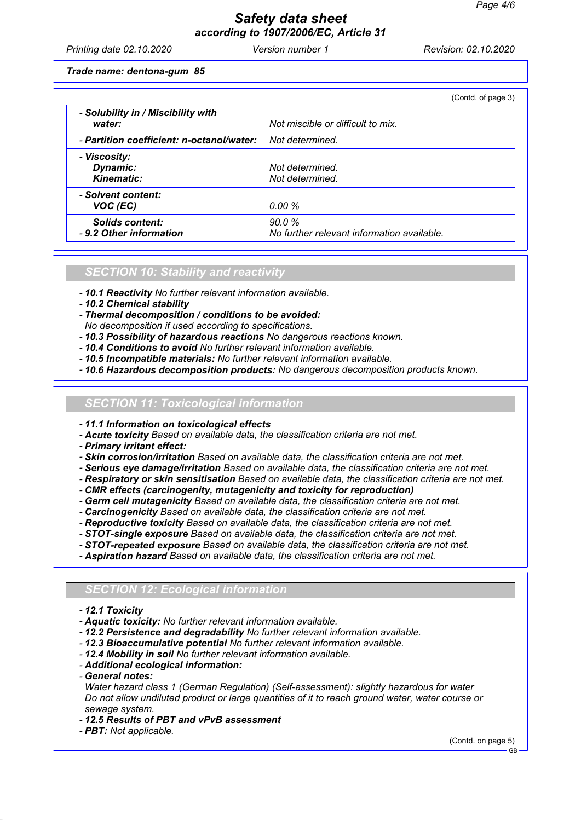## Safety data sheet according to 1907/2006/EC, Article 31

Printing date 02.10.2020 **Revision: 02.10.2020** Version number 1 Revision: 02.10.2020

Trade name: dentona-gum 85

|                                                                  | (Contd. of page 3)                                  |
|------------------------------------------------------------------|-----------------------------------------------------|
| - Solubility in / Miscibility with<br>water:                     | Not miscible or difficult to mix.                   |
| - <b>Partition coefficient: n-octanol/water:</b> Not determined. |                                                     |
| - Viscosity:<br>Dynamic:<br><b>Kinematic:</b>                    | Not determined.<br>Not determined.                  |
| - Solvent content:<br>VOC (EC)                                   | 0.00 %                                              |
| Solids content:<br>- 9.2 Other information                       | 90.0%<br>No further relevant information available. |

SECTION 10: Stability and reactivity

- 10.1 Reactivity No further relevant information available.
- 10.2 Chemical stability

- Thermal decomposition / conditions to be avoided:

- No decomposition if used according to specifications.
- 10.3 Possibility of hazardous reactions No dangerous reactions known.
- 10.4 Conditions to avoid No further relevant information available.
- 10.5 Incompatible materials: No further relevant information available.
- 10.6 Hazardous decomposition products: No dangerous decomposition products known.

11: Toxicological information

- 11.1 Information on toxicological effects

- Acute toxicity Based on available data, the classification criteria are not met.

- Primary irritant effect:
- Skin corrosion/irritation Based on available data, the classification criteria are not met.
- Serious eye damage/irritation Based on available data, the classification criteria are not met.
- Respiratory or skin sensitisation Based on available data, the classification criteria are not met.
- CMR effects (carcinogenity, mutagenicity and toxicity for reproduction)
- Germ cell mutagenicity Based on available data, the classification criteria are not met.
- Carcinogenicity Based on available data, the classification criteria are not met.
- Reproductive toxicity Based on available data, the classification criteria are not met.
- STOT-single exposure Based on available data, the classification criteria are not met.
- STOT-repeated exposure Based on available data, the classification criteria are not met.
- Aspiration hazard Based on available data, the classification criteria are not met.

#### **SECTION 12: Ecological information**

- 12.1 Toxicity
- Aquatic toxicity: No further relevant information available.
- 12.2 Persistence and degradability No further relevant information available.
- 12.3 Bioaccumulative potential No further relevant information available.
- 12.4 Mobility in soil No further relevant information available.
- Additional ecological information:
- General notes:
- Water hazard class 1 (German Regulation) (Self-assessment): slightly hazardous for water Do not allow undiluted product or large quantities of it to reach ground water, water course or sewage system.
- 12.5 Results of PBT and vPvB assessment
- **PBT**: Not applicable.

(Contd. on page 5)

GB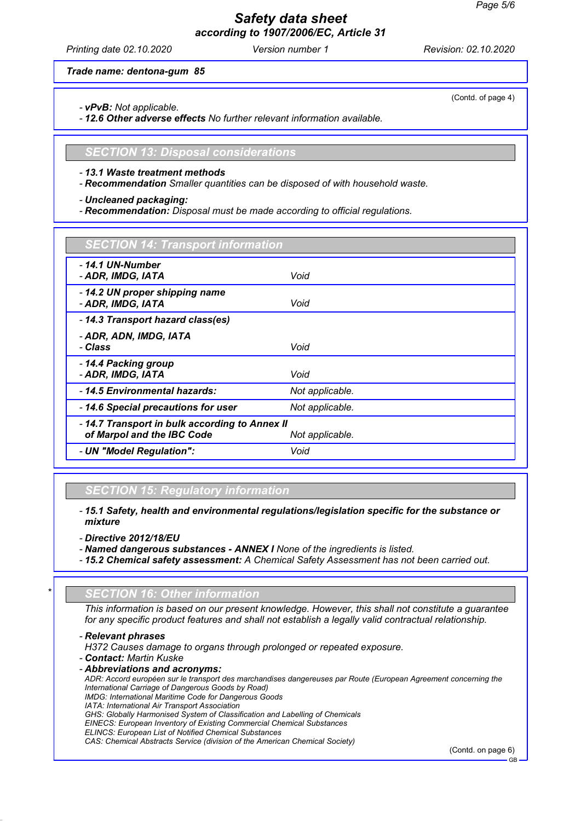## Safety data sheet according to 1907/2006/EC, Article 31

Printing date 02.10.2020 **Revision: 02.10.2020** Version number 1 Revision: 02.10.2020

Trade name: dentona-gum 85

- vPvB: Not applicable.

- 12.6 Other adverse effects No further relevant information available.

SECTION 13: Disposal considerations

- 13.1 Waste treatment methods

- Recommendation Smaller quantities can be disposed of with household waste.

- Uncleaned packaging:

- Recommendation: Disposal must be made according to official regulations.

## CTION 14: Transport information

| - 14.1 UN-Number<br>- ADR, IMDG, IATA                                                           | Void            |  |
|-------------------------------------------------------------------------------------------------|-----------------|--|
| -14.2 UN proper shipping name<br>- ADR, IMDG, IATA                                              | Void            |  |
| -14.3 Transport hazard class(es)                                                                |                 |  |
| - ADR, ADN, IMDG, IATA<br>- Class                                                               | Void            |  |
| -14.4 Packing group<br>- ADR, IMDG, IATA                                                        | Void            |  |
| - 14.5 Environmental hazards:                                                                   | Not applicable. |  |
| -14.6 Special precautions for user                                                              | Not applicable. |  |
| - 14.7 Transport in bulk according to Annex II<br>of Marpol and the IBC Code<br>Not applicable. |                 |  |
| - UN "Model Regulation":                                                                        | Void            |  |
|                                                                                                 |                 |  |

### SECTION 15: Regulatory information

- 15.1 Safety, health and environmental regulations/legislation specific for the substance or mixture

- Directive 2012/18/EU

- Named dangerous substances ANNEX I None of the ingredients is listed.
- 15.2 Chemical safety assessment: A Chemical Safety Assessment has not been carried out.

### **SECTION 16: Other information**

This information is based on our present knowledge. However, this shall not constitute a guarantee for any specific product features and shall not establish a legally valid contractual relationship.

- Relevant phrases H372 Causes damage to organs through prolonged or repeated exposure.

- Contact: Martin Kuske
- Abbreviations and acronyms:
- ADR: Accord européen sur le transport des marchandises dangereuses par Route (European Agreement concerning the International Carriage of Dangerous Goods by Road) IMDG: International Maritime Code for Dangerous Goods
- IATA: International Air Transport Association
- GHS: Globally Harmonised System of Classification and Labelling of Chemicals
- EINECS: European Inventory of Existing Commercial Chemical Substances
- ELINCS: European List of Notified Chemical Substances

```
CAS: Chemical Abstracts Service (division of the American Chemical Society)
```
(Contd. on page 6)

(Contd. of page 4)

GB